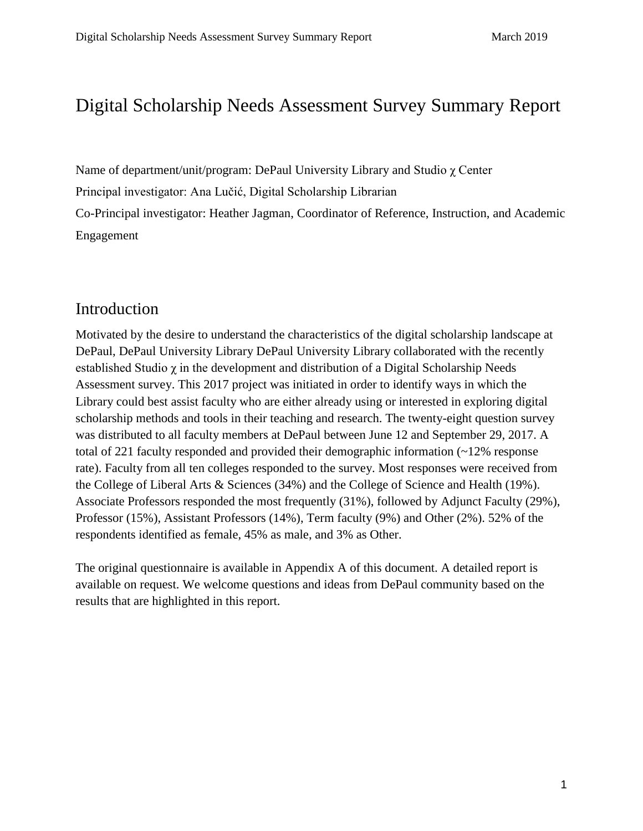# Digital Scholarship Needs Assessment Survey Summary Report

Name of department/unit/program: DePaul University Library and Studio χ Center

Principal investigator: Ana Lučić, Digital Scholarship Librarian

Co-Principal investigator: Heather Jagman, Coordinator of Reference, Instruction, and Academic Engagement

## Introduction

Motivated by the desire to understand the characteristics of the digital scholarship landscape at DePaul, DePaul University Library DePaul University Library collaborated with the recently established Studio  $\chi$  in the development and distribution of a Digital Scholarship Needs Assessment survey. This 2017 project was initiated in order to identify ways in which the Library could best assist faculty who are either already using or interested in exploring digital scholarship methods and tools in their teaching and research. The twenty-eight question survey was distributed to all faculty members at DePaul between June 12 and September 29, 2017. A total of 221 faculty responded and provided their demographic information (~12% response rate). Faculty from all ten colleges responded to the survey. Most responses were received from the College of Liberal Arts & Sciences (34%) and the College of Science and Health (19%). Associate Professors responded the most frequently (31%), followed by Adjunct Faculty (29%), Professor (15%), Assistant Professors (14%), Term faculty (9%) and Other (2%). 52% of the respondents identified as female, 45% as male, and 3% as Other.

The original questionnaire is available in Appendix A of this document. A detailed report is available on request. We welcome questions and ideas from DePaul community based on the results that are highlighted in this report.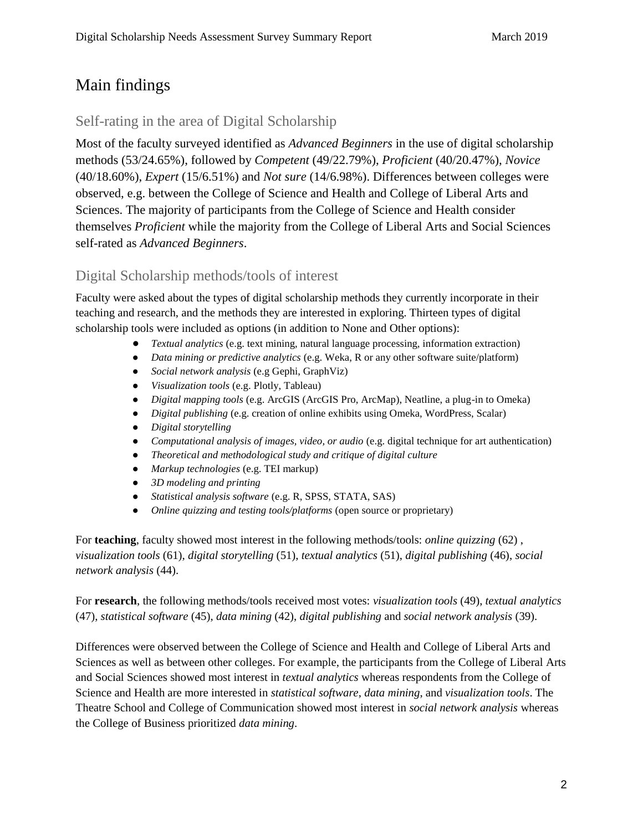# Main findings

## Self-rating in the area of Digital Scholarship

Most of the faculty surveyed identified as *Advanced Beginners* in the use of digital scholarship methods (53/24.65%), followed by *Competent* (49/22.79%), *Proficient* (40/20.47%), *Novice*  (40/18.60%), *Expert* (15/6.51%) and *Not sure* (14/6.98%). Differences between colleges were observed, e.g. between the College of Science and Health and College of Liberal Arts and Sciences. The majority of participants from the College of Science and Health consider themselves *Proficient* while the majority from the College of Liberal Arts and Social Sciences self-rated as *Advanced Beginners*.

## Digital Scholarship methods/tools of interest

Faculty were asked about the types of digital scholarship methods they currently incorporate in their teaching and research, and the methods they are interested in exploring. Thirteen types of digital scholarship tools were included as options (in addition to None and Other options):

- *Textual analytics* (e.g. text mining, natural language processing, information extraction)
- *Data mining or predictive analytics* (e.g. Weka, R or any other software suite/platform)
- *Social network analysis* (e.g Gephi, GraphViz)
- *Visualization tools* (e.g. Plotly, Tableau)
- *Digital mapping tools* (e.g. ArcGIS (ArcGIS Pro, ArcMap), Neatline, a plug-in to Omeka)
- *Digital publishing* (e.g. creation of online exhibits using Omeka, WordPress, Scalar)
- *Digital storytelling*
- *Computational analysis of images, video, or audio* (e.g. digital technique for art authentication)
- *Theoretical and methodological study and critique of digital culture*
- *Markup technologies* (e.g. TEI markup)
- *3D modeling and printing*
- *Statistical analysis software* (e.g. R, SPSS, STATA, SAS)
- *Online quizzing and testing tools/platforms* (open source or proprietary)

For **teaching**, faculty showed most interest in the following methods/tools: *online quizzing* (62) , *visualization tools* (61), *digital storytelling* (51), *textual analytics* (51), *digital publishing* (46), *social network analysis* (44).

For **research**, the following methods/tools received most votes: *visualization tools* (49), *textual analytics* (47), *statistical software* (45), *data mining* (42), *digital publishing* and *social network analysis* (39).

Differences were observed between the College of Science and Health and College of Liberal Arts and Sciences as well as between other colleges. For example, the participants from the College of Liberal Arts and Social Sciences showed most interest in *textual analytics* whereas respondents from the College of Science and Health are more interested in *statistical software*, *data mining*, and *visualization tools*. The Theatre School and College of Communication showed most interest in *social network analysis* whereas the College of Business prioritized *data mining*.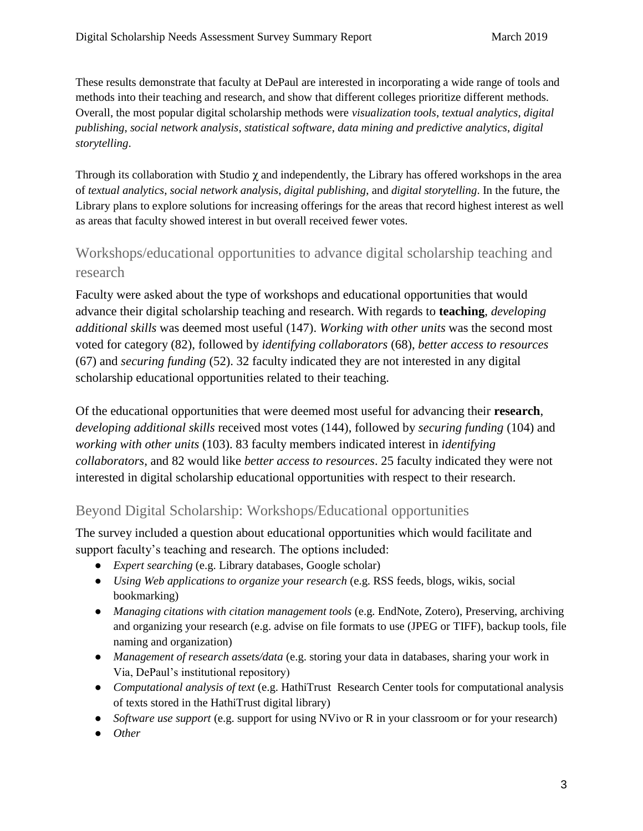These results demonstrate that faculty at DePaul are interested in incorporating a wide range of tools and methods into their teaching and research, and show that different colleges prioritize different methods. Overall, the most popular digital scholarship methods were *visualization tools*, *textual analytics*, *digital publishing*, *social network analysis*, *statistical software*, *data mining and predictive analytics*, *digital storytelling*.

Through its collaboration with Studio  $\gamma$  and independently, the Library has offered workshops in the area of *textual analytics*, *social network analysis*, *digital publishing*, and *digital storytelling*. In the future, the Library plans to explore solutions for increasing offerings for the areas that record highest interest as well as areas that faculty showed interest in but overall received fewer votes.

## Workshops/educational opportunities to advance digital scholarship teaching and research

Faculty were asked about the type of workshops and educational opportunities that would advance their digital scholarship teaching and research. With regards to **teaching**, *developing additional skills* was deemed most useful (147). *Working with other units* was the second most voted for category (82), followed by *identifying collaborators* (68), *better access to resources* (67) and *securing funding* (52). 32 faculty indicated they are not interested in any digital scholarship educational opportunities related to their teaching.

Of the educational opportunities that were deemed most useful for advancing their **research**, *developing additional skills* received most votes (144), followed by *securing funding* (104) and *working with other units* (103). 83 faculty members indicated interest in *identifying collaborators*, and 82 would like *better access to resources*. 25 faculty indicated they were not interested in digital scholarship educational opportunities with respect to their research.

## Beyond Digital Scholarship: Workshops/Educational opportunities

The survey included a question about educational opportunities which would facilitate and support faculty's teaching and research. The options included:

- *Expert searching* (e.g. Library databases, Google scholar)
- *Using Web applications to organize your research* (e.g. RSS feeds, blogs, wikis, social bookmarking)
- *Managing citations with citation management tools* (e.g. EndNote, Zotero), Preserving, archiving and organizing your research (e.g. advise on file formats to use (JPEG or TIFF), backup tools, file naming and organization)
- *Management of research assets/data* (e.g. storing your data in databases, sharing your work in Via, DePaul's institutional repository)
- *Computational analysis of text* (e.g. HathiTrust Research Center tools for computational analysis of texts stored in the HathiTrust digital library)
- *Software use support* (e.g. support for using NVivo or R in your classroom or for your research)
- *Other*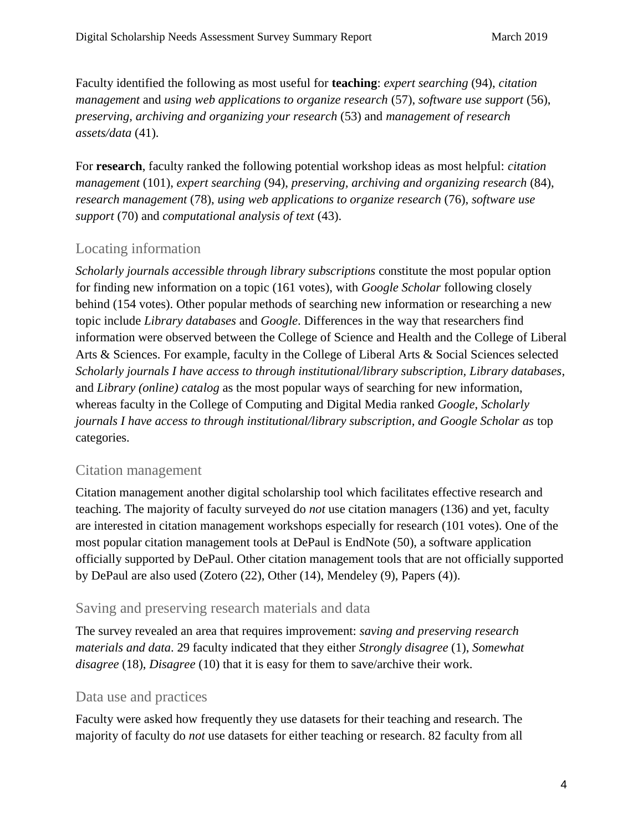Faculty identified the following as most useful for **teaching**: *expert searching* (94), *citation management* and *using web applications to organize research* (57), *software use support* (56), *preserving, archiving and organizing your research* (53) and *management of research assets/data* (41).

For **research**, faculty ranked the following potential workshop ideas as most helpful: *citation management* (101), *expert searching* (94), *preserving, archiving and organizing research* (84), *research management* (78), *using web applications to organize research* (76), *software use support* (70) and *computational analysis of text* (43).

## Locating information

*Scholarly journals accessible through library subscriptions* constitute the most popular option for finding new information on a topic (161 votes), with *Google Scholar* following closely behind (154 votes). Other popular methods of searching new information or researching a new topic include *Library databases* and *Google*. Differences in the way that researchers find information were observed between the College of Science and Health and the College of Liberal Arts & Sciences. For example, faculty in the College of Liberal Arts & Social Sciences selected *Scholarly journals I have access to through institutional/library subscription, Library databases*, and *Library (online) catalog* as the most popular ways of searching for new information, whereas faculty in the College of Computing and Digital Media ranked *Google*, *Scholarly journals I have access to through institutional/library subscription, and Google Scholar as top* categories.

## Citation management

Citation management another digital scholarship tool which facilitates effective research and teaching. The majority of faculty surveyed do *not* use citation managers (136) and yet, faculty are interested in citation management workshops especially for research (101 votes). One of the most popular citation management tools at DePaul is EndNote (50), a software application officially supported by DePaul. Other citation management tools that are not officially supported by DePaul are also used (Zotero (22), Other (14), Mendeley (9), Papers (4)).

## Saving and preserving research materials and data

The survey revealed an area that requires improvement: *saving and preserving research materials and data*. 29 faculty indicated that they either *Strongly disagree* (1), *Somewhat disagree* (18), *Disagree* (10) that it is easy for them to save/archive their work.

## Data use and practices

Faculty were asked how frequently they use datasets for their teaching and research. The majority of faculty do *not* use datasets for either teaching or research. 82 faculty from all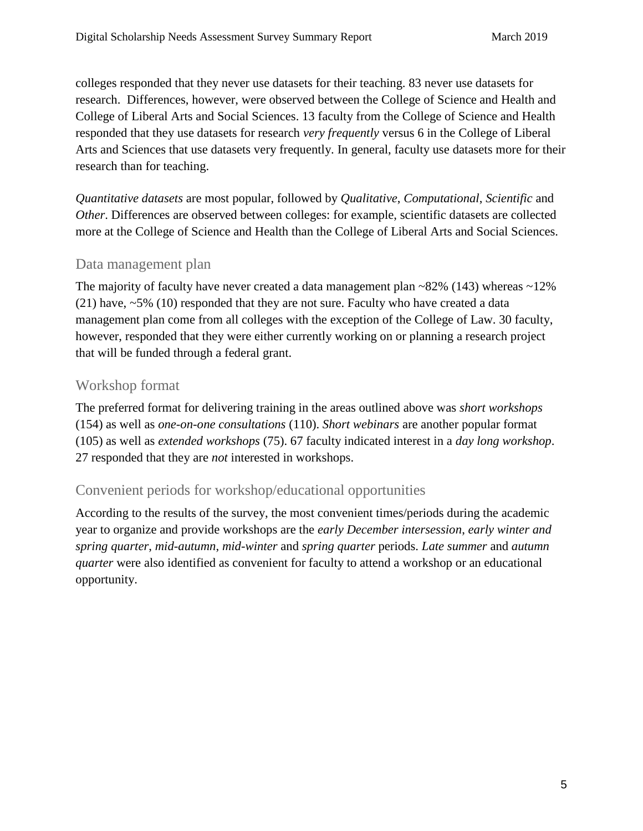colleges responded that they never use datasets for their teaching. 83 never use datasets for research. Differences, however, were observed between the College of Science and Health and College of Liberal Arts and Social Sciences. 13 faculty from the College of Science and Health responded that they use datasets for research *very frequently* versus 6 in the College of Liberal Arts and Sciences that use datasets very frequently. In general, faculty use datasets more for their research than for teaching.

*Quantitative datasets* are most popular, followed by *Qualitative*, *Computational*, *Scientific* and *Other*. Differences are observed between colleges: for example, scientific datasets are collected more at the College of Science and Health than the College of Liberal Arts and Social Sciences.

## Data management plan

The majority of faculty have never created a data management plan  $\sim$ 82% (143) whereas  $\sim$ 12% (21) have, ~5% (10) responded that they are not sure. Faculty who have created a data management plan come from all colleges with the exception of the College of Law. 30 faculty, however, responded that they were either currently working on or planning a research project that will be funded through a federal grant.

#### Workshop format

The preferred format for delivering training in the areas outlined above was *short workshops*  (154) as well as *one-on-one consultations* (110). *Short webinars* are another popular format (105) as well as *extended workshops* (75). 67 faculty indicated interest in a *day long workshop*. 27 responded that they are *not* interested in workshops.

#### Convenient periods for workshop/educational opportunities

According to the results of the survey, the most convenient times/periods during the academic year to organize and provide workshops are the *early December intersession*, *early winter and spring quarter*, *mid-autumn*, *mid-winter* and *spring quarter* periods. *Late summer* and *autumn quarter* were also identified as convenient for faculty to attend a workshop or an educational opportunity.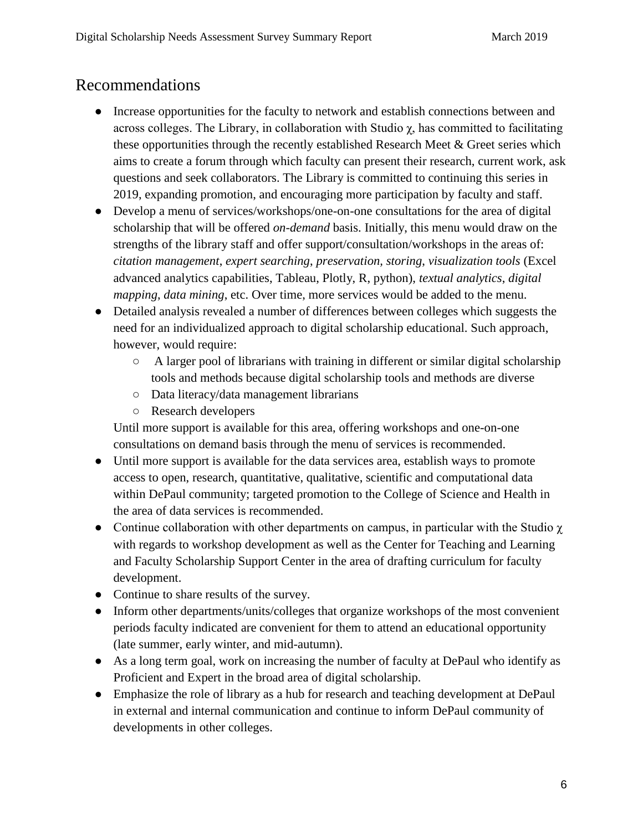# Recommendations

- Increase opportunities for the faculty to network and establish connections between and across colleges. The Library, in collaboration with Studio χ, has committed to facilitating these opportunities through the recently established Research Meet & Greet series which aims to create a forum through which faculty can present their research, current work, ask questions and seek collaborators. The Library is committed to continuing this series in 2019, expanding promotion, and encouraging more participation by faculty and staff.
- Develop a menu of services/workshops/one-on-one consultations for the area of digital scholarship that will be offered *on-demand* basis. Initially, this menu would draw on the strengths of the library staff and offer support/consultation/workshops in the areas of: *citation management*, *expert searching*, *preservation, storing*, *visualization tools* (Excel advanced analytics capabilities, Tableau, Plotly, R, python), *textual analytics*, *digital mapping*, *data mining*, etc. Over time, more services would be added to the menu.
- Detailed analysis revealed a number of differences between colleges which suggests the need for an individualized approach to digital scholarship educational. Such approach, however, would require:
	- A larger pool of librarians with training in different or similar digital scholarship tools and methods because digital scholarship tools and methods are diverse
	- Data literacy/data management librarians
	- Research developers

Until more support is available for this area, offering workshops and one-on-one consultations on demand basis through the menu of services is recommended.

- Until more support is available for the data services area, establish ways to promote access to open, research, quantitative, qualitative, scientific and computational data within DePaul community; targeted promotion to the College of Science and Health in the area of data services is recommended.
- Continue collaboration with other departments on campus, in particular with the Studio  $\gamma$ with regards to workshop development as well as the Center for Teaching and Learning and Faculty Scholarship Support Center in the area of drafting curriculum for faculty development.
- Continue to share results of the survey.
- Inform other departments/units/colleges that organize workshops of the most convenient periods faculty indicated are convenient for them to attend an educational opportunity (late summer, early winter, and mid-autumn).
- As a long term goal, work on increasing the number of faculty at DePaul who identify as Proficient and Expert in the broad area of digital scholarship.
- Emphasize the role of library as a hub for research and teaching development at DePaul in external and internal communication and continue to inform DePaul community of developments in other colleges.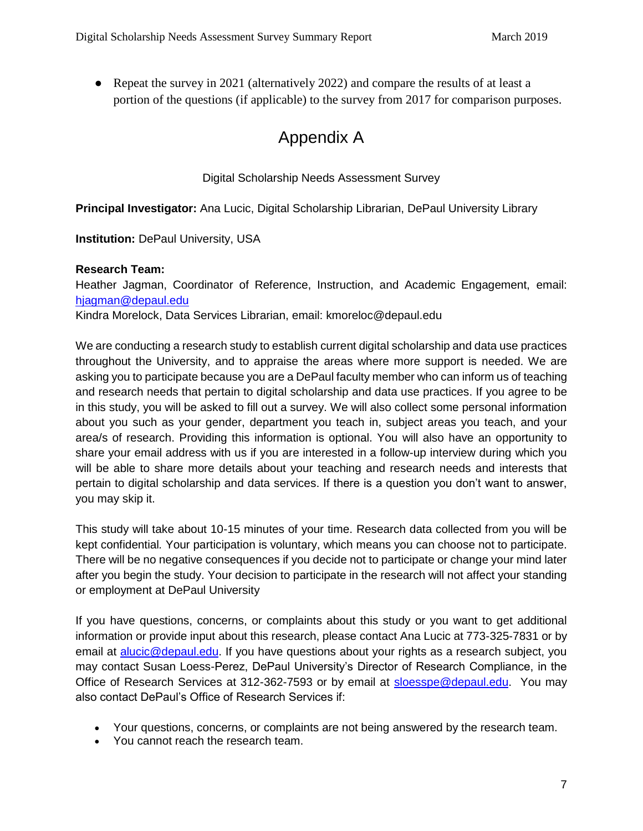• Repeat the survey in 2021 (alternatively 2022) and compare the results of at least a portion of the questions (if applicable) to the survey from 2017 for comparison purposes.

# Appendix A

#### Digital Scholarship Needs Assessment Survey

**Principal Investigator:** Ana Lucic, Digital Scholarship Librarian, DePaul University Library

**Institution:** DePaul University, USA

#### **Research Team:**

Heather Jagman, Coordinator of Reference, Instruction, and Academic Engagement, email: [hjagman@depaul.edu](mailto:hjagman@depaul.edu)

Kindra Morelock, Data Services Librarian, email: kmoreloc@depaul.edu

We are conducting a research study to establish current digital scholarship and data use practices throughout the University, and to appraise the areas where more support is needed. We are asking you to participate because you are a DePaul faculty member who can inform us of teaching and research needs that pertain to digital scholarship and data use practices. If you agree to be in this study, you will be asked to fill out a survey. We will also collect some personal information about you such as your gender, department you teach in, subject areas you teach, and your area/s of research. Providing this information is optional. You will also have an opportunity to share your email address with us if you are interested in a follow-up interview during which you will be able to share more details about your teaching and research needs and interests that pertain to digital scholarship and data services. If there is a question you don't want to answer, you may skip it.

This study will take about 10-15 minutes of your time. Research data collected from you will be kept confidential*.* Your participation is voluntary, which means you can choose not to participate. There will be no negative consequences if you decide not to participate or change your mind later after you begin the study. Your decision to participate in the research will not affect your standing or employment at DePaul University

If you have questions, concerns, or complaints about this study or you want to get additional information or provide input about this research, please contact Ana Lucic at 773-325-7831 or by email at [alucic@depaul.edu.](mailto:alucic@depaul.edu) If you have questions about your rights as a research subject, you may contact Susan Loess-Perez, DePaul University's Director of Research Compliance, in the Office of Research Services at 312-362-7593 or by email at [sloesspe@depaul.edu.](mailto:sloesspe@depaul.edu) You may also contact DePaul's Office of Research Services if:

- Your questions, concerns, or complaints are not being answered by the research team.
- You cannot reach the research team.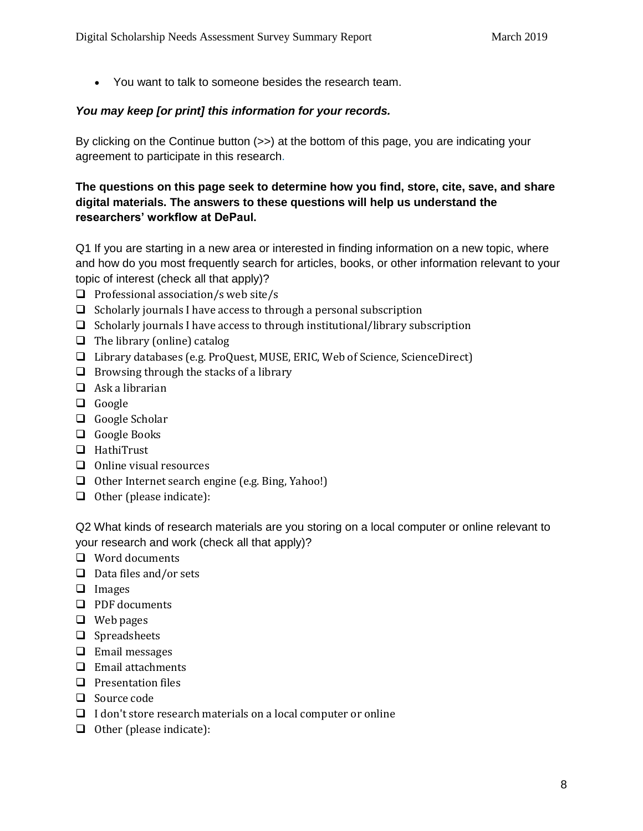You want to talk to someone besides the research team.

#### *You may keep [or print] this information for your records.*

By clicking on the Continue button (>>) at the bottom of this page, you are indicating your agreement to participate in this research.

#### **The questions on this page seek to determine how you find, store, cite, save, and share digital materials. The answers to these questions will help us understand the researchers' workflow at DePaul.**

Q1 If you are starting in a new area or interested in finding information on a new topic, where and how do you most frequently search for articles, books, or other information relevant to your topic of interest (check all that apply)?

- $\Box$  Professional association/s web site/s
- $\Box$  Scholarly journals I have access to through a personal subscription
- $\Box$  Scholarly journals I have access to through institutional/library subscription
- $\Box$  The library (online) catalog
- Library databases (e.g. ProQuest, MUSE, ERIC, Web of Science, ScienceDirect)
- $\Box$  Browsing through the stacks of a library
- $\Box$  Ask a librarian
- Google
- □ Google Scholar
- Google Books
- □ HathiTrust
- $\Box$  Online visual resources
- $\Box$  Other Internet search engine (e.g. Bing, Yahoo!)
- $\Box$  Other (please indicate):

Q2 What kinds of research materials are you storing on a local computer or online relevant to your research and work (check all that apply)?

- Word documents
- $\Box$  Data files and/or sets
- **I** Images
- **D** PDF documents
- Web pages
- $\Box$  Spreadsheets
- $\Box$  Email messages
- $\Box$  Email attachments
- $\Box$  Presentation files
- □ Source code
- $\Box$  I don't store research materials on a local computer or online
- $\Box$  Other (please indicate):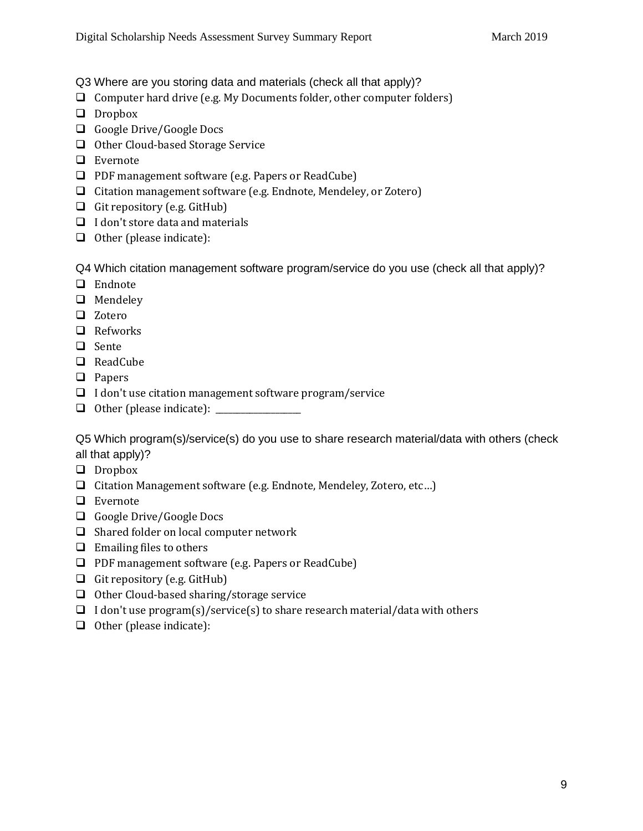Q3 Where are you storing data and materials (check all that apply)?

- $\Box$  Computer hard drive (e.g. My Documents folder, other computer folders)
- **D** Dropbox
- Google Drive/Google Docs
- $\Box$  Other Cloud-based Storage Service
- □ Evernote
- □ PDF management software (e.g. Papers or ReadCube)
- $\Box$  Citation management software (e.g. Endnote, Mendeley, or Zotero)
- Git repository (e.g. GitHub)
- $\Box$  I don't store data and materials
- $\Box$  Other (please indicate):

Q4 Which citation management software program/service do you use (check all that apply)?

- $\Box$  Endnote
- **Q** Mendeley
- □ Zotero
- $\Box$  Refworks
- □ Sente
- □ ReadCube
- **D** Papers
- $\Box$  I don't use citation management software program/service
- Other (please indicate): \_\_\_\_\_\_\_\_\_\_\_\_\_\_\_\_\_\_\_\_

Q5 Which program(s)/service(s) do you use to share research material/data with others (check all that apply)?

- **D** Dropbox
- $\Box$  Citation Management software (e.g. Endnote, Mendeley, Zotero, etc...)
- □ Evernote
- Google Drive/Google Docs
- $\Box$  Shared folder on local computer network
- $\Box$  Emailing files to others
- □ PDF management software (e.g. Papers or ReadCube)
- Git repository (e.g. GitHub)
- $\Box$  Other Cloud-based sharing/storage service
- $\Box$  I don't use program(s)/service(s) to share research material/data with others
- $\Box$  Other (please indicate):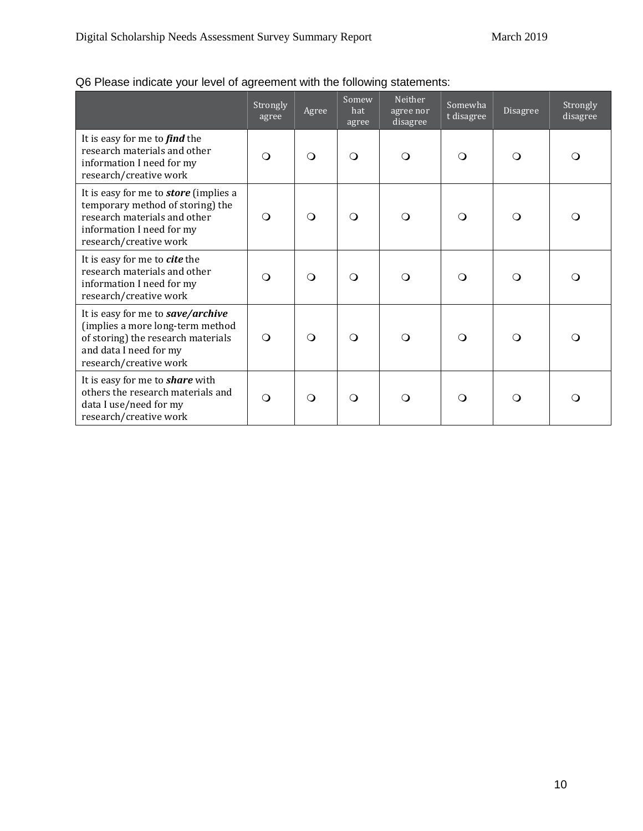|  |  | Q6 Please indicate your level of agreement with the following statements: |
|--|--|---------------------------------------------------------------------------|
|--|--|---------------------------------------------------------------------------|

|                                                                                                                                                                         | Strongly<br>agree | Agree    | Somew<br>hat<br>agree | Neither<br>agree nor<br>disagree | Somewha<br>t disagree | Disagree | Strongly<br>disagree |
|-------------------------------------------------------------------------------------------------------------------------------------------------------------------------|-------------------|----------|-----------------------|----------------------------------|-----------------------|----------|----------------------|
| It is easy for me to find the<br>research materials and other<br>information I need for my<br>research/creative work                                                    | $\Omega$          | $\Omega$ | $\Omega$              | $\Omega$                         | $\Omega$              | $\Omega$ | $\Omega$             |
| It is easy for me to <b>store</b> (implies a<br>temporary method of storing) the<br>research materials and other<br>information I need for my<br>research/creative work | $\Omega$          | $\Omega$ | $\Omega$              | ∩                                | ∩                     | ∩        | $\Omega$             |
| It is easy for me to cite the<br>research materials and other<br>information I need for my<br>research/creative work                                                    | $\Omega$          | $\Omega$ | $\Omega$              | ∩                                | ∩                     | ∩        | ∩                    |
| It is easy for me to save/archive<br>(implies a more long-term method<br>of storing) the research materials<br>and data I need for my<br>research/creative work         | $\Omega$          | $\Omega$ | $\Omega$              | $\Omega$                         | ∩                     | $\Omega$ | $\Omega$             |
| It is easy for me to <b>share</b> with<br>others the research materials and<br>data I use/need for my<br>research/creative work                                         | $\Omega$          | $\Omega$ | $\Omega$              | $\Omega$                         | $\Omega$              | ∩        | $\Omega$             |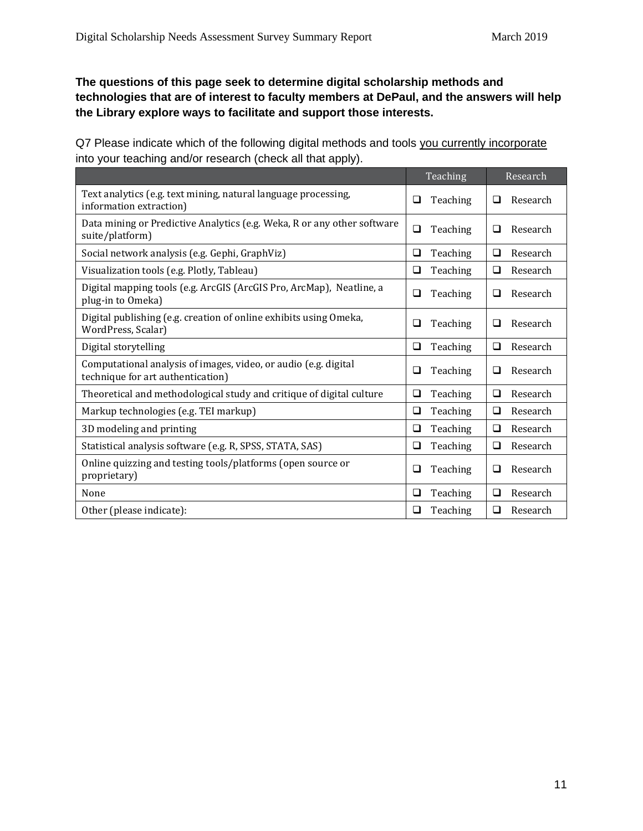#### **The questions of this page seek to determine digital scholarship methods and technologies that are of interest to faculty members at DePaul, and the answers will help the Library explore ways to facilitate and support those interests.**

Q7 Please indicate which of the following digital methods and tools you currently incorporate into your teaching and/or research (check all that apply).

|                                                                                                      | Teaching           | Research           |
|------------------------------------------------------------------------------------------------------|--------------------|--------------------|
| Text analytics (e.g. text mining, natural language processing,<br>information extraction)            | Teaching<br>❏      | Research<br>◻      |
| Data mining or Predictive Analytics (e.g. Weka, R or any other software<br>suite/platform)           | ❏<br>Teaching      | Research<br>□      |
| Social network analysis (e.g. Gephi, GraphViz)                                                       | ❏<br>Teaching      | $\Box$<br>Research |
| Visualization tools (e.g. Plotly, Tableau)                                                           | $\Box$<br>Teaching | ❏<br>Research      |
| Digital mapping tools (e.g. ArcGIS (ArcGIS Pro, ArcMap), Neatline, a<br>plug-in to Omeka)            | Teaching<br>❏      | Research<br>□      |
| Digital publishing (e.g. creation of online exhibits using Omeka,<br>WordPress, Scalar)              | □<br>Teaching      | □<br>Research      |
| Digital storytelling                                                                                 | ❏<br>Teaching      | ❏<br>Research      |
| Computational analysis of images, video, or audio (e.g. digital<br>technique for art authentication) | Teaching<br>◻      | Research<br>❏      |
| Theoretical and methodological study and critique of digital culture                                 | ❏<br>Teaching      | $\Box$<br>Research |
| Markup technologies (e.g. TEI markup)                                                                | Teaching<br>❏      | □<br>Research      |
| 3D modeling and printing                                                                             | Teaching<br>❏      | $\Box$<br>Research |
| Statistical analysis software (e.g. R, SPSS, STATA, SAS)                                             | ❏<br>Teaching      | ❏<br>Research      |
| Online quizzing and testing tools/platforms (open source or<br>proprietary)                          | Teaching<br>◻      | Research<br>❏      |
| None                                                                                                 | ❏<br>Teaching      | $\Box$<br>Research |
| Other (please indicate):                                                                             | $\Box$<br>Teaching | ❏<br>Research      |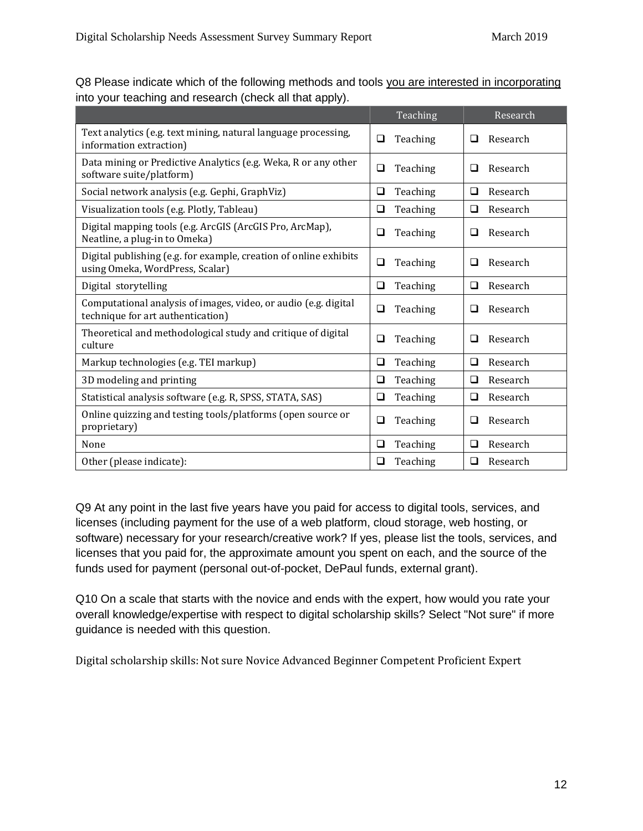|                                                                                                      | Teaching           | Research           |
|------------------------------------------------------------------------------------------------------|--------------------|--------------------|
| Text analytics (e.g. text mining, natural language processing,<br>information extraction)            | ❏<br>Teaching      | Research<br>□      |
| Data mining or Predictive Analytics (e.g. Weka, R or any other<br>software suite/platform)           | ❏<br>Teaching      | Research<br>□      |
| Social network analysis (e.g. Gephi, GraphViz)                                                       | $\Box$<br>Teaching | Research<br>❏      |
| Visualization tools (e.g. Plotly, Tableau)                                                           | Teaching<br>$\Box$ | Research<br>❏      |
| Digital mapping tools (e.g. ArcGIS (ArcGIS Pro, ArcMap),<br>Neatline, a plug-in to Omeka)            | Teaching<br>❏      | Research<br>□      |
| Digital publishing (e.g. for example, creation of online exhibits<br>using Omeka, WordPress, Scalar) | ❏<br>Teaching      | Research<br>$\Box$ |
| Digital storytelling                                                                                 | ❏<br>Teaching      | Research<br>❏      |
| Computational analysis of images, video, or audio (e.g. digital<br>technique for art authentication) | ❏<br>Teaching      | Research<br>$\Box$ |
| Theoretical and methodological study and critique of digital<br>culture                              | ❏<br>Teaching      | Research<br>□      |
| Markup technologies (e.g. TEI markup)                                                                | $\Box$<br>Teaching | $\Box$<br>Research |
| 3D modeling and printing                                                                             | ❏<br>Teaching      | Research<br>❏      |
| Statistical analysis software (e.g. R, SPSS, STATA, SAS)                                             | Teaching<br>❏      | Research<br>❏      |
| Online quizzing and testing tools/platforms (open source or<br>proprietary)                          | $\Box$<br>Teaching | $\Box$<br>Research |
| None                                                                                                 | ❏<br>Teaching      | Research<br>❏      |
| Other (please indicate):                                                                             | Teaching<br>❏      | Research<br>❏      |

Q8 Please indicate which of the following methods and tools you are interested in incorporating into your teaching and research (check all that apply).

Q9 At any point in the last five years have you paid for access to digital tools, services, and licenses (including payment for the use of a web platform, cloud storage, web hosting, or software) necessary for your research/creative work? If yes, please list the tools, services, and licenses that you paid for, the approximate amount you spent on each, and the source of the funds used for payment (personal out-of-pocket, DePaul funds, external grant).

Q10 On a scale that starts with the novice and ends with the expert, how would you rate your overall knowledge/expertise with respect to digital scholarship skills? Select "Not sure" if more guidance is needed with this question.

Digital scholarship skills: Not sure Novice Advanced Beginner Competent Proficient Expert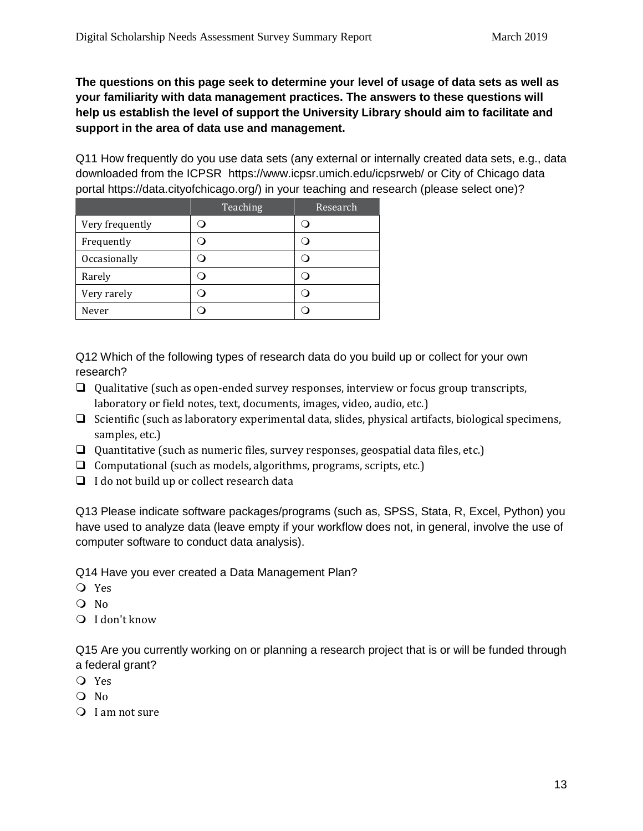**The questions on this page seek to determine your level of usage of data sets as well as your familiarity with data management practices. The answers to these questions will help us establish the level of support the University Library should aim to facilitate and support in the area of data use and management.**

Q11 How frequently do you use data sets (any external or internally created data sets, e.g., data downloaded from the ICPSR https://www.icpsr.umich.edu/icpsrweb/ or City of Chicago data portal https://data.cityofchicago.org/) in your teaching and research (please select one)?

|                 | Teaching | Research |
|-----------------|----------|----------|
| Very frequently |          |          |
| Frequently      |          |          |
| Occasionally    |          |          |
| Rarely          |          |          |
| Very rarely     |          |          |
| Never           |          |          |

Q12 Which of the following types of research data do you build up or collect for your own research?

- $\Box$  Qualitative (such as open-ended survey responses, interview or focus group transcripts, laboratory or field notes, text, documents, images, video, audio, etc.)
- $\Box$  Scientific (such as laboratory experimental data, slides, physical artifacts, biological specimens, samples, etc.)
- Quantitative (such as numeric files, survey responses, geospatial data files, etc.)
- $\Box$  Computational (such as models, algorithms, programs, scripts, etc.)
- $\Box$  I do not build up or collect research data

Q13 Please indicate software packages/programs (such as, SPSS, Stata, R, Excel, Python) you have used to analyze data (leave empty if your workflow does not, in general, involve the use of computer software to conduct data analysis).

Q14 Have you ever created a Data Management Plan?

- Yes
- O No
- I don't know

Q15 Are you currently working on or planning a research project that is or will be funded through a federal grant?

- Yes
- O No
- O I am not sure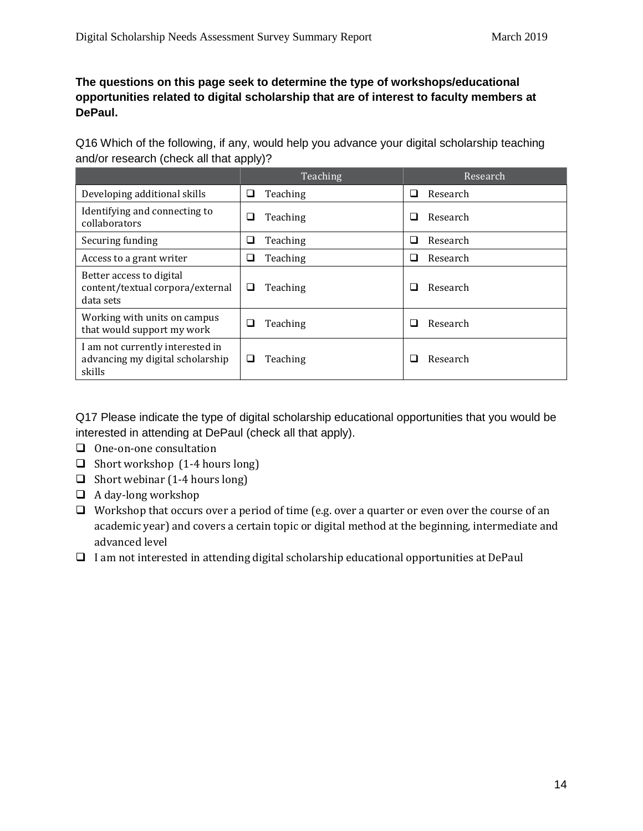#### **The questions on this page seek to determine the type of workshops/educational opportunities related to digital scholarship that are of interest to faculty members at DePaul.**

Q16 Which of the following, if any, would help you advance your digital scholarship teaching and/or research (check all that apply)?

|                                                                                | Teaching      | Research           |
|--------------------------------------------------------------------------------|---------------|--------------------|
| Developing additional skills                                                   | Teaching<br>⊔ | Research<br>ப      |
| Identifying and connecting to<br>collaborators                                 | Teaching<br>⊔ | Research<br>- 1    |
| Securing funding                                                               | Teaching<br>❏ | Research<br>$\Box$ |
| Access to a grant writer                                                       | Teaching<br>❏ | Research<br>ш      |
| Better access to digital<br>content/textual corpora/external<br>data sets      | Teaching<br>⊔ | Research<br>$\sim$ |
| Working with units on campus<br>that would support my work                     | Teaching<br>ப | Research<br>l.     |
| I am not currently interested in<br>advancing my digital scholarship<br>skills | Teaching<br>ப | Research           |

Q17 Please indicate the type of digital scholarship educational opportunities that you would be interested in attending at DePaul (check all that apply).

- One-on-one consultation
- $\Box$  Short workshop (1-4 hours long)
- $\Box$  Short webinar (1-4 hours long)
- $\Box$  A day-long workshop
- $\Box$  Workshop that occurs over a period of time (e.g. over a quarter or even over the course of an academic year) and covers a certain topic or digital method at the beginning, intermediate and advanced level
- $\Box$  I am not interested in attending digital scholarship educational opportunities at DePaul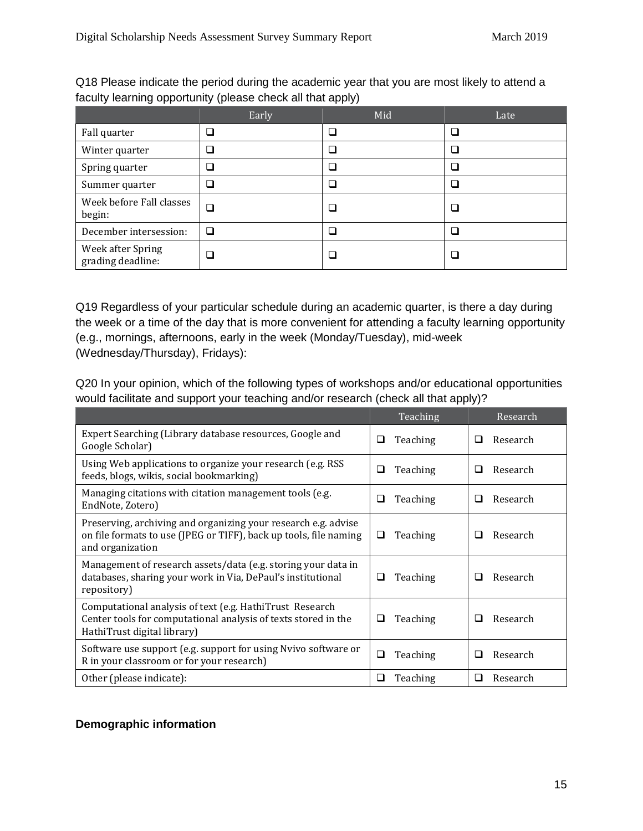|                                        | Early | Mid                         | Late |
|----------------------------------------|-------|-----------------------------|------|
| Fall quarter                           | ❏     | □                           |      |
| Winter quarter                         | □     |                             |      |
| Spring quarter                         | ❏     |                             |      |
| Summer quarter                         | □     | $\mathcal{L}_{\mathcal{A}}$ |      |
| Week before Fall classes<br>begin:     | ❏     |                             |      |
| December intersession:                 | ❏     |                             |      |
| Week after Spring<br>grading deadline: | ❏     |                             |      |

Q18 Please indicate the period during the academic year that you are most likely to attend a faculty learning opportunity (please check all that apply)

Q19 Regardless of your particular schedule during an academic quarter, is there a day during the week or a time of the day that is more convenient for attending a faculty learning opportunity (e.g., mornings, afternoons, early in the week (Monday/Tuesday), mid-week (Wednesday/Thursday), Fridays):

Q20 In your opinion, which of the following types of workshops and/or educational opportunities would facilitate and support your teaching and/or research (check all that apply)?

|                                                                                                                                                           | Teaching      | Research      |  |
|-----------------------------------------------------------------------------------------------------------------------------------------------------------|---------------|---------------|--|
| Expert Searching (Library database resources, Google and<br>Google Scholar)                                                                               | Teaching<br>❏ | Research<br>□ |  |
| Using Web applications to organize your research (e.g. RSS)<br>feeds, blogs, wikis, social bookmarking)                                                   | Teaching<br>⊔ | Research      |  |
| Managing citations with citation management tools (e.g.<br>EndNote, Zotero)                                                                               | Teaching<br>ப | Research<br>ப |  |
| Preserving, archiving and organizing your research e.g. advise<br>on file formats to use (JPEG or TIFF), back up tools, file naming<br>and organization   | Teaching<br>⊔ | Research      |  |
| Management of research assets/data (e.g. storing your data in<br>databases, sharing your work in Via, DePaul's institutional<br>repository)               | Teaching<br>⊔ | Research      |  |
| Computational analysis of text (e.g. HathiTrust Research<br>Center tools for computational analysis of texts stored in the<br>HathiTrust digital library) | Teaching<br>ப | Research      |  |
| Software use support (e.g. support for using Nvivo software or<br>R in your classroom or for your research)                                               | Teaching<br>❏ | Research      |  |
| Other (please indicate):                                                                                                                                  | Teaching<br>ப | Research      |  |

#### **Demographic information**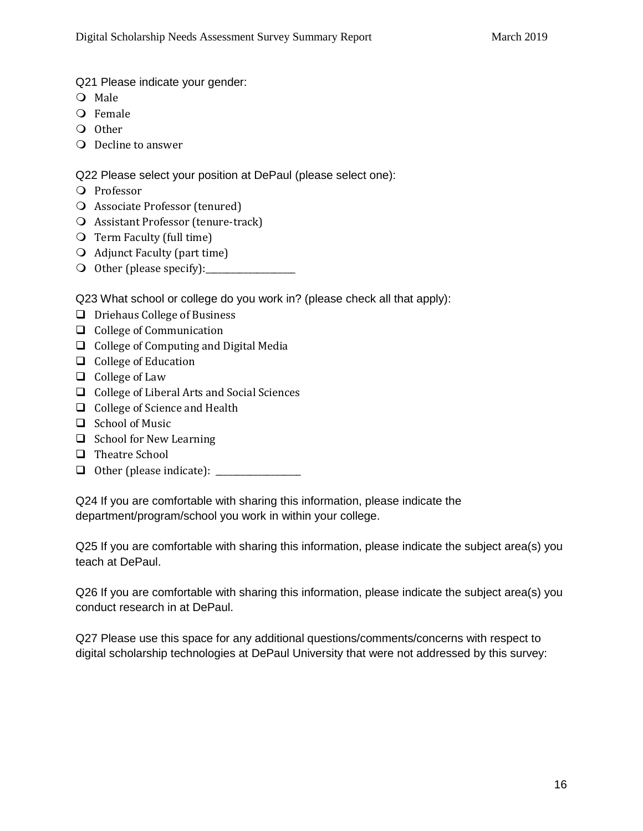Q21 Please indicate your gender:

- O Male
- O Female
- O Other
- O Decline to answer

Q22 Please select your position at DePaul (please select one):

- O Professor
- Associate Professor (tenured)
- Assistant Professor (tenure-track)
- O Term Faculty (full time)
- Adjunct Faculty (part time)
- O Other (please specify):

Q23 What school or college do you work in? (please check all that apply):

- $\Box$  Driehaus College of Business
- $\Box$  College of Communication
- $\Box$  College of Computing and Digital Media
- $\Box$  College of Education
- $\Box$  College of Law
- □ College of Liberal Arts and Social Sciences
- $\Box$  College of Science and Health
- $\Box$  School of Music
- $\Box$  School for New Learning
- □ Theatre School
- Other (please indicate): \_\_\_\_\_\_\_\_\_\_\_\_\_\_\_\_\_\_\_\_

Q24 If you are comfortable with sharing this information, please indicate the department/program/school you work in within your college.

Q25 If you are comfortable with sharing this information, please indicate the subject area(s) you teach at DePaul.

Q26 If you are comfortable with sharing this information, please indicate the subject area(s) you conduct research in at DePaul.

Q27 Please use this space for any additional questions/comments/concerns with respect to digital scholarship technologies at DePaul University that were not addressed by this survey: